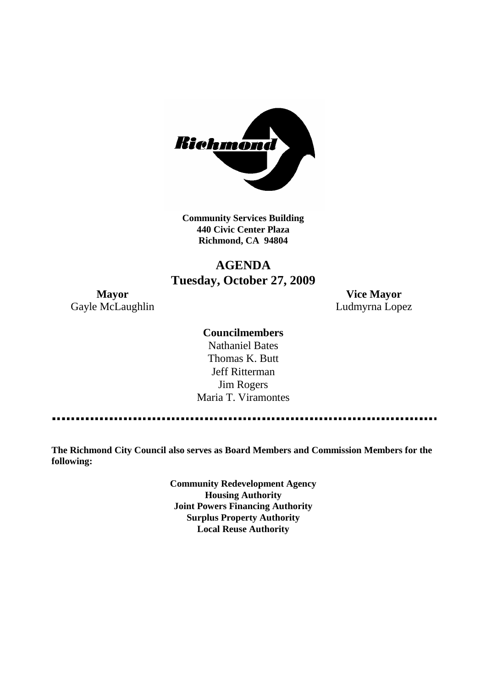

**Community Services Building 440 Civic Center Plaza Richmond, CA 94804**

# **AGENDA Tuesday, October 27, 2009**

**Mayor Vice Mayor** Gayle McLaughlin **Ludmyrna Lopez** 

### **Councilmembers**

Nathaniel Bates Thomas K. Butt Jeff Ritterman Jim Rogers Maria T. Viramontes

**The Richmond City Council also serves as Board Members and Commission Members for the following:**

> **Community Redevelopment Agency Housing Authority Joint Powers Financing Authority Surplus Property Authority Local Reuse Authority**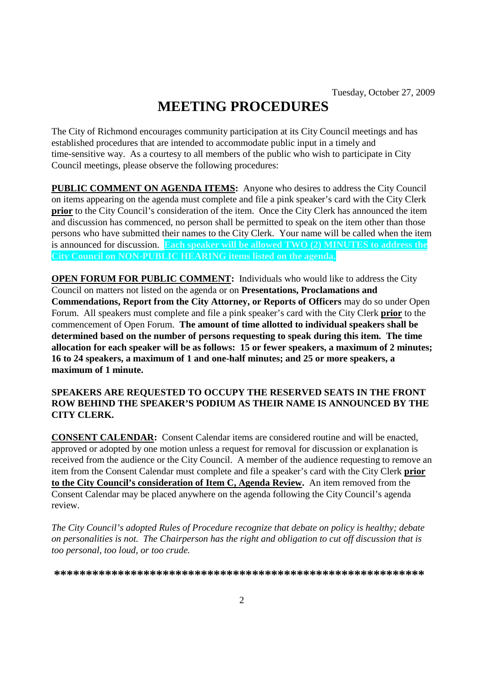# **MEETING PROCEDURES**

The City of Richmond encourages community participation at its City Council meetings and has established procedures that are intended to accommodate public input in a timely and time-sensitive way. As a courtesy to all members of the public who wish to participate in City Council meetings, please observe the following procedures:

**PUBLIC COMMENT ON AGENDA ITEMS:** Anyone who desires to address the City Council on items appearing on the agenda must complete and file a pink speaker's card with the City Clerk **prior** to the City Council's consideration of the item. Once the City Clerk has announced the item and discussion has commenced, no person shall be permitted to speak on the item other than those persons who have submitted their names to the City Clerk. Your name will be called when the item is announced for discussion. **Each speaker will be allowed TWO (2) MINUTES to address the City Council on NON-PUBLIC HEARING items listed on the agenda.**

**OPEN FORUM FOR PUBLIC COMMENT:** Individuals who would like to address the City Council on matters not listed on the agenda or on **Presentations, Proclamations and Commendations, Report from the City Attorney, or Reports of Officers** may do so under Open Forum. All speakers must complete and file a pink speaker's card with the City Clerk **prior** to the commencement of Open Forum. **The amount of time allotted to individual speakers shall be determined based on the number of persons requesting to speak during this item. The time allocation for each speaker will be as follows: 15 or fewer speakers, a maximum of 2 minutes; 16 to 24 speakers, a maximum of 1 and one-half minutes; and 25 or more speakers, a maximum of 1 minute.**

### **SPEAKERS ARE REQUESTED TO OCCUPY THE RESERVED SEATS IN THE FRONT ROW BEHIND THE SPEAKER'S PODIUM AS THEIR NAME IS ANNOUNCED BY THE CITY CLERK.**

**CONSENT CALENDAR:** Consent Calendar items are considered routine and will be enacted, approved or adopted by one motion unless a request for removal for discussion or explanation is received from the audience or the City Council. A member of the audience requesting to remove an item from the Consent Calendar must complete and file a speaker's card with the City Clerk **prior to the City Council's consideration of Item C, Agenda Review.** An item removed from the Consent Calendar may be placed anywhere on the agenda following the City Council's agenda review.

*The City Council's adopted Rules of Procedure recognize that debate on policy is healthy; debate on personalities is not. The Chairperson has the right and obligation to cut off discussion that is too personal, too loud, or too crude.*

**\*\*\*\*\*\*\*\*\*\*\*\*\*\*\*\*\*\*\*\*\*\*\*\*\*\*\*\*\*\*\*\*\*\*\*\*\*\*\*\*\*\*\*\*\*\*\*\*\*\*\*\*\*\*\*\*\*\***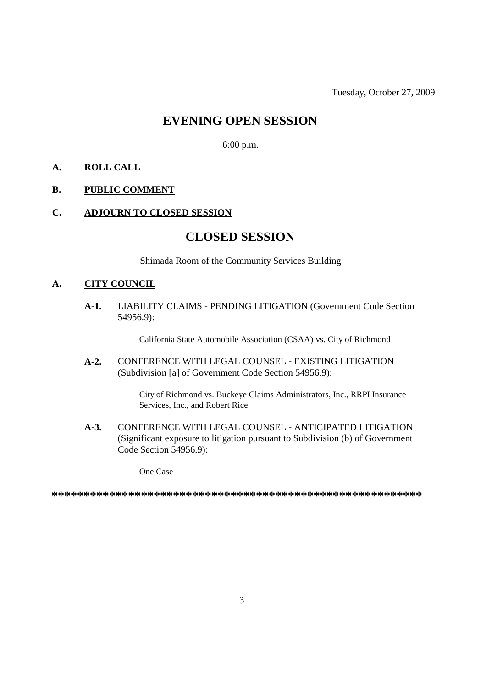## **EVENING OPEN SESSION**

6:00 p.m.

### **A. ROLL CALL**

### **B. PUBLIC COMMENT**

#### **C. ADJOURN TO CLOSED SESSION**

### **CLOSED SESSION**

Shimada Room of the Community Services Building

### **A. CITY COUNCIL**

**A-1.** LIABILITY CLAIMS - PENDING LITIGATION (Government Code Section 54956.9):

California State Automobile Association (CSAA) vs. City of Richmond

**A-2.** CONFERENCE WITH LEGAL COUNSEL - EXISTING LITIGATION (Subdivision [a] of Government Code Section 54956.9):

> City of Richmond vs. Buckeye Claims Administrators, Inc., RRPI Insurance Services, Inc., and Robert Rice

**A-3.** CONFERENCE WITH LEGAL COUNSEL - ANTICIPATED LITIGATION (Significant exposure to litigation pursuant to Subdivision (b) of Government Code Section 54956.9):

One Case

**\*\*\*\*\*\*\*\*\*\*\*\*\*\*\*\*\*\*\*\*\*\*\*\*\*\*\*\*\*\*\*\*\*\*\*\*\*\*\*\*\*\*\*\*\*\*\*\*\*\*\*\*\*\*\*\*\*\***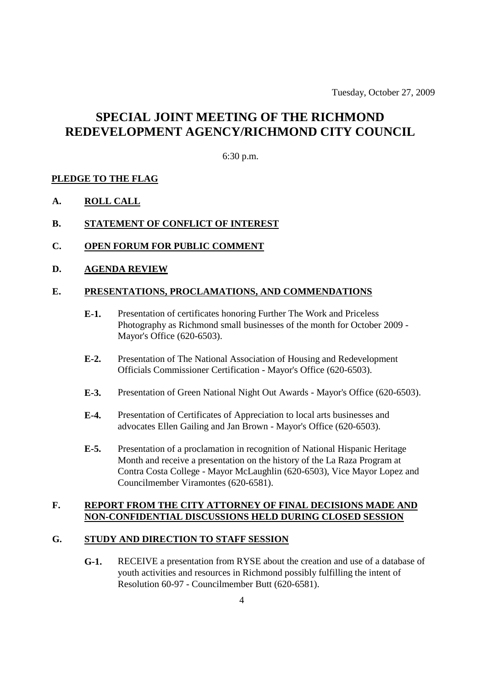Tuesday, October 27, 2009

# **SPECIAL JOINT MEETING OF THE RICHMOND REDEVELOPMENT AGENCY/RICHMOND CITY COUNCIL**

### 6:30 p.m.

### **PLEDGE TO THE FLAG**

**A. ROLL CALL**

### **B. STATEMENT OF CONFLICT OF INTEREST**

- **C. OPEN FORUM FOR PUBLIC COMMENT**
- **D. AGENDA REVIEW**

#### **E. PRESENTATIONS, PROCLAMATIONS, AND COMMENDATIONS**

- **E-1.** Presentation of certificates honoring Further The Work and Priceless Photography as Richmond small businesses of the month for October 2009 - Mayor's Office (620-6503).
- **E-2.** Presentation of The National Association of Housing and Redevelopment Officials Commissioner Certification - Mayor's Office (620-6503).
- **E-3.** Presentation of Green National Night Out Awards Mayor's Office (620-6503).
- **E-4.** Presentation of Certificates of Appreciation to local arts businesses and advocates Ellen Gailing and Jan Brown - Mayor's Office (620-6503).
- **E-5.** Presentation of a proclamation in recognition of National Hispanic Heritage Month and receive a presentation on the history of the La Raza Program at Contra Costa College - Mayor McLaughlin (620-6503), Vice Mayor Lopez and Councilmember Viramontes (620-6581).

### **F. REPORT FROM THE CITY ATTORNEY OF FINAL DECISIONS MADE AND NON-CONFIDENTIAL DISCUSSIONS HELD DURING CLOSED SESSION**

### **G. STUDY AND DIRECTION TO STAFF SESSION**

**G-1.** RECEIVE a presentation from RYSE about the creation and use of a database of youth activities and resources in Richmond possibly fulfilling the intent of Resolution 60-97 - Councilmember Butt (620-6581).